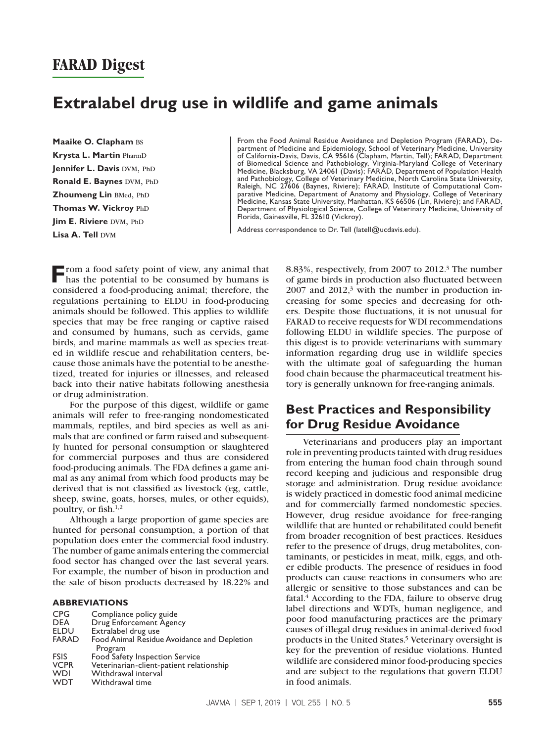# **Extralabel drug use in wildlife and game animals**

**Maaike O. Clapham** bs **Krysta L. Martin PharmD** Jennifer L. Davis DVM, PhD **Ronald E. Baynes DVM, PhD Zhoumeng Lin BMed, PhD Thomas W. Vickroy PhD Jim E. Riviere DVM, PhD Lisa A. Tell DVM** 

From the Food Animal Residue Avoidance and Depletion Program (FARAD), Department of Medicine and Epidemiology, School of Veterinary Medicine, University of California-Davis, Davis, CA 95616 (Clapham, Martin, Tell); FARAD, Department of Biomedical Science and Pathobiology, Virginia-Maryland College of Veterinary Medicine, Blacksburg, VA 24061 (Davis); FARAD, Department of Population Health and Pathobiology, College of Veterinary Medicine, North Carolina State University, Raleigh, NC 27606 (Baynes, Riviere); FARAD, Institute of Computational Comparative Medicine, Department of Anatomy and Physiology, College of Veterinary Medicine, Kansas State University, Manhattan, KS 66506 (Lin, Riviere); and FARAD, Department of Physiological Science, College of Veterinary Medicine, University of Florida, Gainesville, FL 32610 (Vickroy).

Address correspondence to Dr. Tell (latell@ucdavis.edu).

**From a food safety point of view, any animal that has the potential to be consumed by humans is** considered a food-producing animal; therefore, the regulations pertaining to ELDU in food-producing animals should be followed. This applies to wildlife species that may be free ranging or captive raised and consumed by humans, such as cervids, game birds, and marine mammals as well as species treated in wildlife rescue and rehabilitation centers, because those animals have the potential to be anesthetized, treated for injuries or illnesses, and released back into their native habitats following anesthesia or drug administration.

For the purpose of this digest, wildlife or game animals will refer to free-ranging nondomesticated mammals, reptiles, and bird species as well as animals that are confined or farm raised and subsequently hunted for personal consumption or slaughtered for commercial purposes and thus are considered food-producing animals. The FDA defines a game animal as any animal from which food products may be derived that is not classified as livestock (eg, cattle, sheep, swine, goats, horses, mules, or other equids), poultry, or fish.1,2

Although a large proportion of game species are hunted for personal consumption, a portion of that population does enter the commercial food industry. The number of game animals entering the commercial food sector has changed over the last several years. For example, the number of bison in production and the sale of bison products decreased by 18.22% and

#### **ABBREVIATIONS**

| <b>CPG</b>   | Compliance policy guide                     |
|--------------|---------------------------------------------|
| <b>DEA</b>   | Drug Enforcement Agency                     |
| ELDU         | Extralabel drug use                         |
| <b>FARAD</b> | Food Animal Residue Avoidance and Depletion |
|              | Program                                     |
| <b>FSIS</b>  | Food Safety Inspection Service              |
| <b>VCPR</b>  | Veterinarian-client-patient relationship    |
| <b>WDI</b>   | Withdrawal interval                         |
| <b>WDT</b>   | Withdrawal time                             |

8.83%, respectively, from 2007 to 2012.3 The number of game birds in production also fluctuated between  $2007$  and  $2012<sup>3</sup>$  with the number in production increasing for some species and decreasing for others. Despite those fluctuations, it is not unusual for FARAD to receive requests for WDI recommendations following ELDU in wildlife species. The purpose of this digest is to provide veterinarians with summary information regarding drug use in wildlife species with the ultimate goal of safeguarding the human food chain because the pharmaceutical treatment history is generally unknown for free-ranging animals.

### **Best Practices and Responsibility for Drug Residue Avoidance**

Veterinarians and producers play an important role in preventing products tainted with drug residues from entering the human food chain through sound record keeping and judicious and responsible drug storage and administration. Drug residue avoidance is widely practiced in domestic food animal medicine and for commercially farmed nondomestic species. However, drug residue avoidance for free-ranging wildlife that are hunted or rehabilitated could benefit from broader recognition of best practices. Residues refer to the presence of drugs, drug metabolites, contaminants, or pesticides in meat, milk, eggs, and other edible products. The presence of residues in food products can cause reactions in consumers who are allergic or sensitive to those substances and can be fatal. $4$  According to the FDA, failure to observe drug label directions and WDTs, human negligence, and poor food manufacturing practices are the primary causes of illegal drug residues in animal-derived food products in the United States.<sup>5</sup> Veterinary oversight is key for the prevention of residue violations. Hunted wildlife are considered minor food-producing species and are subject to the regulations that govern ELDU in food animals.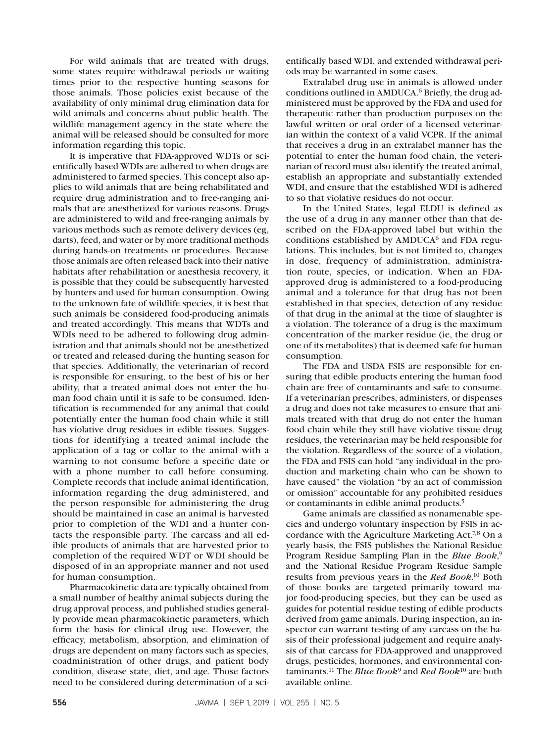For wild animals that are treated with drugs, some states require withdrawal periods or waiting times prior to the respective hunting seasons for those animals. Those policies exist because of the availability of only minimal drug elimination data for wild animals and concerns about public health. The wildlife management agency in the state where the animal will be released should be consulted for more information regarding this topic.

It is imperative that FDA-approved WDTs or scientifically based WDIs are adhered to when drugs are administered to farmed species. This concept also applies to wild animals that are being rehabilitated and require drug administration and to free-ranging animals that are anesthetized for various reasons. Drugs are administered to wild and free-ranging animals by various methods such as remote delivery devices (eg, darts), feed, and water or by more traditional methods during hands-on treatments or procedures. Because those animals are often released back into their native habitats after rehabilitation or anesthesia recovery, it is possible that they could be subsequently harvested by hunters and used for human consumption. Owing to the unknown fate of wildlife species, it is best that such animals be considered food-producing animals and treated accordingly. This means that WDTs and WDIs need to be adhered to following drug administration and that animals should not be anesthetized or treated and released during the hunting season for that species. Additionally, the veterinarian of record is responsible for ensuring, to the best of his or her ability, that a treated animal does not enter the human food chain until it is safe to be consumed. Identification is recommended for any animal that could potentially enter the human food chain while it still has violative drug residues in edible tissues. Suggestions for identifying a treated animal include the application of a tag or collar to the animal with a warning to not consume before a specific date or with a phone number to call before consuming. Complete records that include animal identification, information regarding the drug administered, and the person responsible for administering the drug should be maintained in case an animal is harvested prior to completion of the WDI and a hunter contacts the responsible party. The carcass and all edible products of animals that are harvested prior to completion of the required WDT or WDI should be disposed of in an appropriate manner and not used for human consumption.

Pharmacokinetic data are typically obtained from a small number of healthy animal subjects during the drug approval process, and published studies generally provide mean pharmacokinetic parameters, which form the basis for clinical drug use. However, the efficacy, metabolism, absorption, and elimination of drugs are dependent on many factors such as species, coadministration of other drugs, and patient body condition, disease state, diet, and age. Those factors need to be considered during determination of a sci-

entifically based WDI, and extended withdrawal periods may be warranted in some cases.

Extralabel drug use in animals is allowed under conditions outlined in AMDUCA.<sup>6</sup> Briefly, the drug administered must be approved by the FDA and used for therapeutic rather than production purposes on the lawful written or oral order of a licensed veterinarian within the context of a valid VCPR. If the animal that receives a drug in an extralabel manner has the potential to enter the human food chain, the veterinarian of record must also identify the treated animal, establish an appropriate and substantially extended WDI, and ensure that the established WDI is adhered to so that violative residues do not occur.

In the United States, legal ELDU is defined as the use of a drug in any manner other than that described on the FDA-approved label but within the conditions established by AMDUCA<sup>6</sup> and FDA regulations. This includes, but is not limited to, changes in dose, frequency of administration, administration route, species, or indication. When an FDAapproved drug is administered to a food-producing animal and a tolerance for that drug has not been established in that species, detection of any residue of that drug in the animal at the time of slaughter is a violation. The tolerance of a drug is the maximum concentration of the marker residue (ie, the drug or one of its metabolites) that is deemed safe for human consumption.

The FDA and USDA FSIS are responsible for ensuring that edible products entering the human food chain are free of contaminants and safe to consume. If a veterinarian prescribes, administers, or dispenses a drug and does not take measures to ensure that animals treated with that drug do not enter the human food chain while they still have violative tissue drug residues, the veterinarian may be held responsible for the violation. Regardless of the source of a violation, the FDA and FSIS can hold "any individual in the production and marketing chain who can be shown to have caused" the violation "by an act of commission or omission" accountable for any prohibited residues or contaminants in edible animal products.5

Game animals are classified as nonamenable species and undergo voluntary inspection by FSIS in accordance with the Agriculture Marketing Act.7,8 On a yearly basis, the FSIS publishes the National Residue Program Residue Sampling Plan in the *Blue Book*, 9 and the National Residue Program Residue Sample results from previous years in the *Red Book*. 10 Both of those books are targeted primarily toward major food-producing species, but they can be used as guides for potential residue testing of edible products derived from game animals. During inspection, an inspector can warrant testing of any carcass on the basis of their professional judgement and require analysis of that carcass for FDA-approved and unapproved drugs, pesticides, hormones, and environmental contaminants.11 The *Blue Book*9 and *Red Book*10 are both available online.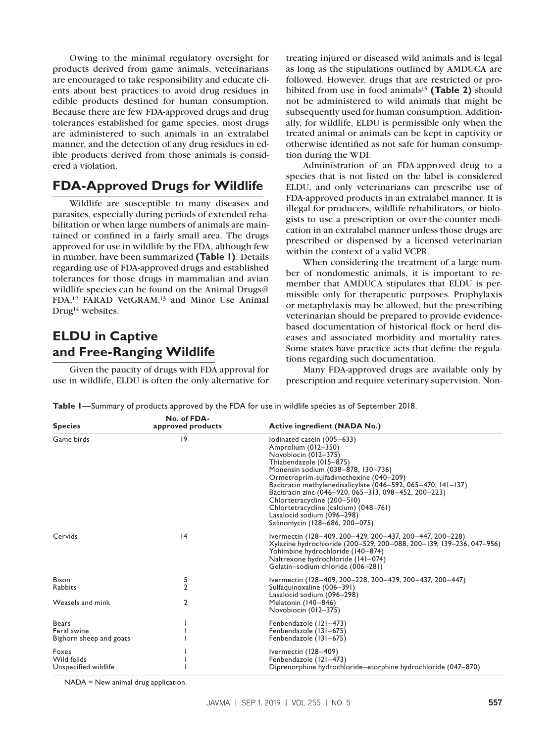Owing to the minimal regulatory oversight for products derived from game animals, veterinarians are encouraged to take responsibility and educate clients about best practices to avoid drug residues in edible products destined for human consumption. Because there are few FDA-approved drugs and drug tolerances established for game species, most drugs are administered to such animals in an extralabel manner, and the detection of any drug residues in edible products derived from those animals is considered a violation.

# **FDA-Approved Drugs for Wildlife**

Wildlife are susceptible to many diseases and parasites, especially during periods of extended rehabilitation or when large numbers of animals are maintained or confined in a fairly small area. The drugs approved for use in wildlife by the FDA, although few in number, have been summarized **(Table 1)**. Details regarding use of FDA-approved drugs and established tolerances for those drugs in mammalian and avian wildlife species can be found on the Animal Drugs@ FDA,12 FARAD VetGRAM,13 and Minor Use Animal Drug<sup>14</sup> websites.

# **ELDU in Captive and Free-Ranging Wildlife**

Given the paucity of drugs with FDA approval for use in wildlife, ELDU is often the only alternative for

treating injured or diseased wild animals and is legal as long as the stipulations outlined by AMDUCA are followed. However, drugs that are restricted or prohibited from use in food animals<sup>15</sup> (Table 2) should not be administered to wild animals that might be subsequently used for human consumption. Additionally, for wildlife, ELDU is permissible only when the treated animal or animals can be kept in captivity or otherwise identified as not safe for human consumption during the WDI.

Administration of an FDA-approved drug to a species that is not listed on the label is considered ELDU, and only veterinarians can prescribe use of FDA-approved products in an extralabel manner. It is illegal for producers, wildlife rehabilitators, or biologists to use a prescription or over-the-counter medication in an extralabel manner unless those drugs are prescribed or dispensed by a licensed veterinarian within the context of a valid VCPR.

When considering the treatment of a large number of nondomestic animals, it is important to remember that AMDUCA stipulates that ELDU is permissible only for therapeutic purposes. Prophylaxis or metaphylaxis may be allowed, but the prescribing veterinarian should be prepared to provide evidencebased documentation of historical flock or herd diseases and associated morbidity and mortality rates. Some states have practice acts that define the regulations regarding such documentation.

Many FDA-approved drugs are available only by prescription and require veterinary supervision. Non-

|                | Table I-Summary of products approved by the FDA for use in wildlife species as of September 2018. |
|----------------|---------------------------------------------------------------------------------------------------|
| $N_0$ of $ENA$ |                                                                                                   |

| <b>Species</b>                                         | approved products        | <b>Active ingredient (NADA No.)</b>                                                                                                                                                                                                                                                                                                                                                                                                                  |
|--------------------------------------------------------|--------------------------|------------------------------------------------------------------------------------------------------------------------------------------------------------------------------------------------------------------------------------------------------------------------------------------------------------------------------------------------------------------------------------------------------------------------------------------------------|
| Game birds                                             | 9                        | lodinated casein (005–633)<br>Amprolium (012-350)<br>Novobiocin (012-375)<br>Thiabendazole (015-875)<br>Monensin sodium (038-878, 130-736)<br>Ormetroprim-sulfadimethoxine (040-209)<br>Bacitracin methylenedisalicylate (046–592, 065–470, 141–137)<br>Bacitracin zinc (046-920, 065-313, 098-452, 200-223)<br>Chlortetracycline (200-510)<br>Chlortetracycline (calcium) (048-761)<br>Lasalocid sodium (096–298)<br>Salinomycin (128–686, 200–075) |
| Cervids                                                | 4                        | Ivermectin (128-409, 200-429, 200-437, 200-447, 200-228)<br>Xylazine hydrochloride (200-529, 200-088, 200-139, 139-236, 047-956)<br>Yohimbine hydrochloride (140-874)<br>Naltrexone hydrochloride (141-074)<br>Gelatin-sodium chloride (006-281)                                                                                                                                                                                                     |
| <b>Bison</b><br>Rabbits<br>Weasels and mink            | 5<br>$\overline{2}$<br>2 | Ivermectin (128-409, 200-228, 200-429, 200-437, 200-447)<br>Sulfaquinoxaline (006-391)<br>Lasalocid sodium (096-298)<br>Melatonin (140-846)<br>Novobiocin (012-375)                                                                                                                                                                                                                                                                                  |
| <b>Bears</b><br>Feral swine<br>Bighorn sheep and goats |                          | Fenbendazole (121-473)<br>Fenbendazole (131–675)<br>Fenbendazole (131–675)                                                                                                                                                                                                                                                                                                                                                                           |
| Foxes<br>Wild felids<br>Unspecified wildlife           |                          | Ivermectin (128-409)<br>Fenbendazole (121-473)<br>Diprenorphine hydrochloride-etorphine hydrochloride (047-870)                                                                                                                                                                                                                                                                                                                                      |

NADA = New animal drug application.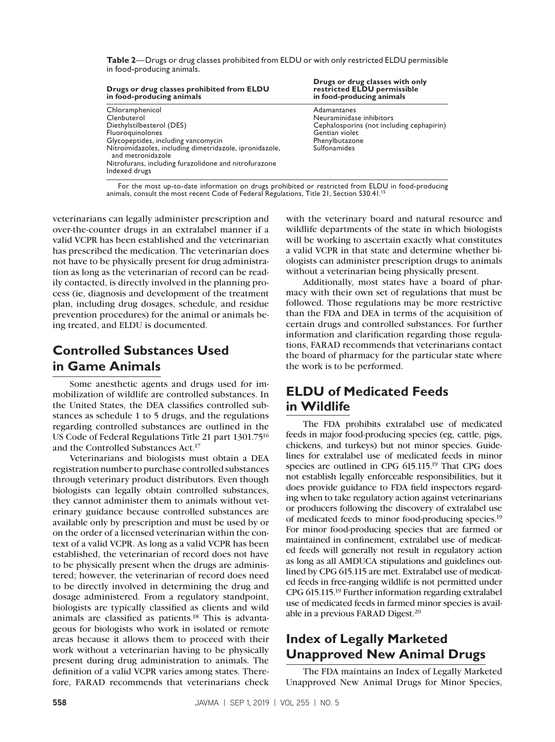|                            | <b>Table 2</b> —Drugs or drug classes prohibited from ELDU or with only restricted ELDU permissible |  |  |  |
|----------------------------|-----------------------------------------------------------------------------------------------------|--|--|--|
| in food-producing animals. |                                                                                                     |  |  |  |

| Drugs or drug classes prohibited from ELDU<br>in food-producing animals                                                                                                                                                                                                          | Drugs or drug classes with only<br>restricted ELDU permissible<br>in food-producing animals                                                     |
|----------------------------------------------------------------------------------------------------------------------------------------------------------------------------------------------------------------------------------------------------------------------------------|-------------------------------------------------------------------------------------------------------------------------------------------------|
| Chloramphenicol<br>Clenbuterol<br>Diethylstilbesterol (DES)<br>Fluoroquinolones<br>Glycopeptides, including vancomycin<br>Nitroimidazoles, including dimetridazole, ipronidazole,<br>and metronidazole<br>Nitrofurans, including furazolidone and nitrofurazone<br>Indexed drugs | <b>Adamantanes</b><br>Neuraminidase inhibitors<br>Cephalosporins (not including cephapirin)<br>Gentian violet<br>Phenylbutazone<br>Sulfonamides |

For the most up-to-date information on drugs prohibited or restricted from ELDU in food-producing animals, consult the most recent Code of Federal Regulations, Title 21, Section 530.41.<sup>15</sup>

veterinarians can legally administer prescription and over-the-counter drugs in an extralabel manner if a valid VCPR has been established and the veterinarian has prescribed the medication. The veterinarian does not have to be physically present for drug administration as long as the veterinarian of record can be readily contacted, is directly involved in the planning process (ie, diagnosis and development of the treatment plan, including drug dosages, schedule, and residue prevention procedures) for the animal or animals being treated, and ELDU is documented.

# **Controlled Substances Used in Game Animals**

Some anesthetic agents and drugs used for immobilization of wildlife are controlled substances. In the United States, the DEA classifies controlled substances as schedule 1 to 5 drugs, and the regulations regarding controlled substances are outlined in the US Code of Federal Regulations Title 21 part 1301.7516 and the Controlled Substances Act.17

Veterinarians and biologists must obtain a DEA registration number to purchase controlled substances through veterinary product distributors. Even though biologists can legally obtain controlled substances, they cannot administer them to animals without veterinary guidance because controlled substances are available only by prescription and must be used by or on the order of a licensed veterinarian within the context of a valid VCPR. As long as a valid VCPR has been established, the veterinarian of record does not have to be physically present when the drugs are administered; however, the veterinarian of record does need to be directly involved in determining the drug and dosage administered. From a regulatory standpoint, biologists are typically classified as clients and wild animals are classified as patients.18 This is advantageous for biologists who work in isolated or remote areas because it allows them to proceed with their work without a veterinarian having to be physically present during drug administration to animals. The definition of a valid VCPR varies among states. Therefore, FARAD recommends that veterinarians check with the veterinary board and natural resource and wildlife departments of the state in which biologists will be working to ascertain exactly what constitutes a valid VCPR in that state and determine whether biologists can administer prescription drugs to animals without a veterinarian being physically present.

Additionally, most states have a board of pharmacy with their own set of regulations that must be followed. Those regulations may be more restrictive than the FDA and DEA in terms of the acquisition of certain drugs and controlled substances. For further information and clarification regarding those regulations, FARAD recommends that veterinarians contact the board of pharmacy for the particular state where the work is to be performed.

# **ELDU of Medicated Feeds in Wildlife**

The FDA prohibits extralabel use of medicated feeds in major food-producing species (eg, cattle, pigs, chickens, and turkeys) but not minor species. Guidelines for extralabel use of medicated feeds in minor species are outlined in CPG 615.115.19 That CPG does not establish legally enforceable responsibilities, but it does provide guidance to FDA field inspectors regarding when to take regulatory action against veterinarians or producers following the discovery of extralabel use of medicated feeds to minor food-producing species.19 For minor food-producing species that are farmed or maintained in confinement, extralabel use of medicated feeds will generally not result in regulatory action as long as all AMDUCA stipulations and guidelines outlined by CPG 615.115 are met. Extralabel use of medicated feeds in free-ranging wildlife is not permitted under CPG 615.115.19 Further information regarding extralabel use of medicated feeds in farmed minor species is available in a previous FARAD Digest.20

# **Index of Legally Marketed Unapproved New Animal Drugs**

The FDA maintains an Index of Legally Marketed Unapproved New Animal Drugs for Minor Species,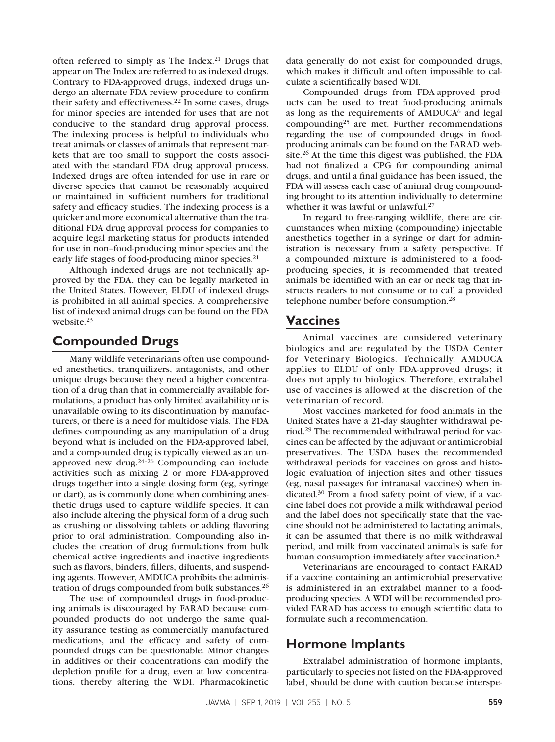often referred to simply as The Index.<sup>21</sup> Drugs that appear on The Index are referred to as indexed drugs. Contrary to FDA-approved drugs, indexed drugs undergo an alternate FDA review procedure to confirm their safety and effectiveness.22 In some cases, drugs for minor species are intended for uses that are not conducive to the standard drug approval process. The indexing process is helpful to individuals who treat animals or classes of animals that represent markets that are too small to support the costs associated with the standard FDA drug approval process. Indexed drugs are often intended for use in rare or diverse species that cannot be reasonably acquired or maintained in sufficient numbers for traditional safety and efficacy studies. The indexing process is a quicker and more economical alternative than the traditional FDA drug approval process for companies to acquire legal marketing status for products intended for use in non–food-producing minor species and the early life stages of food-producing minor species.<sup>21</sup>

Although indexed drugs are not technically approved by the FDA, they can be legally marketed in the United States. However, ELDU of indexed drugs is prohibited in all animal species. A comprehensive list of indexed animal drugs can be found on the FDA website.<sup>23</sup>

### **Compounded Drugs**

Many wildlife veterinarians often use compounded anesthetics, tranquilizers, antagonists, and other unique drugs because they need a higher concentration of a drug than that in commercially available formulations, a product has only limited availability or is unavailable owing to its discontinuation by manufacturers, or there is a need for multidose vials. The FDA defines compounding as any manipulation of a drug beyond what is included on the FDA-approved label, and a compounded drug is typically viewed as an unapproved new drug.24–26 Compounding can include activities such as mixing 2 or more FDA-approved drugs together into a single dosing form (eg, syringe or dart), as is commonly done when combining anesthetic drugs used to capture wildlife species. It can also include altering the physical form of a drug such as crushing or dissolving tablets or adding flavoring prior to oral administration. Compounding also includes the creation of drug formulations from bulk chemical active ingredients and inactive ingredients such as flavors, binders, fillers, diluents, and suspending agents. However, AMDUCA prohibits the administration of drugs compounded from bulk substances.26

The use of compounded drugs in food-producing animals is discouraged by FARAD because compounded products do not undergo the same quality assurance testing as commercially manufactured medications, and the efficacy and safety of compounded drugs can be questionable. Minor changes in additives or their concentrations can modify the depletion profile for a drug, even at low concentrations, thereby altering the WDI. Pharmacokinetic

data generally do not exist for compounded drugs, which makes it difficult and often impossible to calculate a scientifically based WDI.

Compounded drugs from FDA-approved products can be used to treat food-producing animals as long as the requirements of  $AMDUCA<sup>6</sup>$  and legal compounding25 are met. Further recommendations regarding the use of compounded drugs in foodproducing animals can be found on the FARAD website.<sup>26</sup> At the time this digest was published, the FDA had not finalized a CPG for compounding animal drugs, and until a final guidance has been issued, the FDA will assess each case of animal drug compounding brought to its attention individually to determine whether it was lawful or unlawful.<sup>27</sup>

In regard to free-ranging wildlife, there are circumstances when mixing (compounding) injectable anesthetics together in a syringe or dart for administration is necessary from a safety perspective. If a compounded mixture is administered to a foodproducing species, it is recommended that treated animals be identified with an ear or neck tag that instructs readers to not consume or to call a provided telephone number before consumption.28

#### **Vaccines**

Animal vaccines are considered veterinary biologics and are regulated by the USDA Center for Veterinary Biologics. Technically, AMDUCA applies to ELDU of only FDA-approved drugs; it does not apply to biologics. Therefore, extralabel use of vaccines is allowed at the discretion of the veterinarian of record.

Most vaccines marketed for food animals in the United States have a 21-day slaughter withdrawal period.29 The recommended withdrawal period for vaccines can be affected by the adjuvant or antimicrobial preservatives. The USDA bases the recommended withdrawal periods for vaccines on gross and histologic evaluation of injection sites and other tissues (eg, nasal passages for intranasal vaccines) when indicated.30 From a food safety point of view, if a vaccine label does not provide a milk withdrawal period and the label does not specifically state that the vaccine should not be administered to lactating animals, it can be assumed that there is no milk withdrawal period, and milk from vaccinated animals is safe for human consumption immediately after vaccination.<sup>a</sup>

Veterinarians are encouraged to contact FARAD if a vaccine containing an antimicrobial preservative is administered in an extralabel manner to a foodproducing species. A WDI will be recommended provided FARAD has access to enough scientific data to formulate such a recommendation.

# **Hormone Implants**

Extralabel administration of hormone implants, particularly to species not listed on the FDA-approved label, should be done with caution because interspe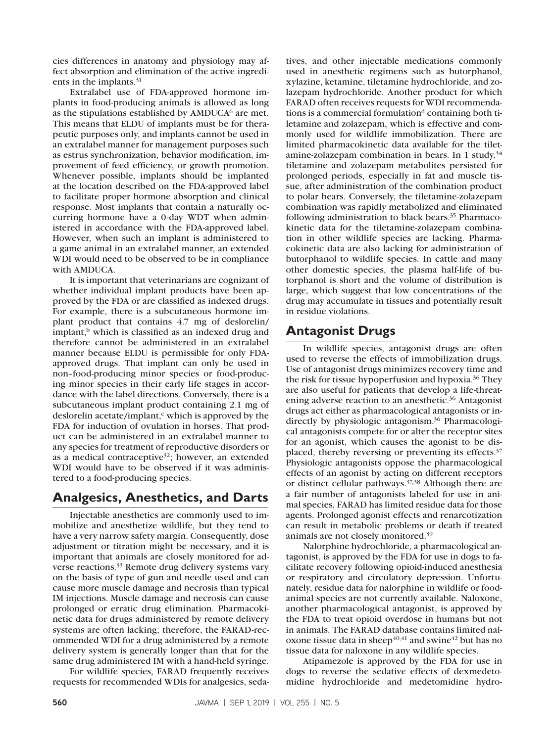cies differences in anatomy and physiology may affect absorption and elimination of the active ingredients in the implants.<sup>31</sup>

Extralabel use of FDA-approved hormone implants in food-producing animals is allowed as long as the stipulations established by  $AMDUCA<sup>6</sup>$  are met. This means that ELDU of implants must be for therapeutic purposes only, and implants cannot be used in an extralabel manner for management purposes such as estrus synchronization, behavior modification, improvement of feed efficiency, or growth promotion. Whenever possible, implants should be implanted at the location described on the FDA-approved label to facilitate proper hormone absorption and clinical response. Most implants that contain a naturally occurring hormone have a 0-day WDT when administered in accordance with the FDA-approved label. However, when such an implant is administered to a game animal in an extralabel manner, an extended WDI would need to be observed to be in compliance with AMDUCA.

It is important that veterinarians are cognizant of whether individual implant products have been approved by the FDA or are classified as indexed drugs. For example, there is a subcutaneous hormone implant product that contains 4.7 mg of deslorelin/ implant,<sup>b</sup> which is classified as an indexed drug and therefore cannot be administered in an extralabel manner because ELDU is permissible for only FDAapproved drugs. That implant can only be used in non–food-producing minor species or food-producing minor species in their early life stages in accordance with the label directions. Conversely, there is a subcutaneous implant product containing 2.1 mg of deslorelin acetate/implant, $c$  which is approved by the FDA for induction of ovulation in horses. That product can be administered in an extralabel manner to any species for treatment of reproductive disorders or as a medical contraceptive<sup>32</sup>; however, an extended WDI would have to be observed if it was administered to a food-producing species.

# **Analgesics, Anesthetics, and Darts**

Injectable anesthetics are commonly used to immobilize and anesthetize wildlife, but they tend to have a very narrow safety margin. Consequently, dose adjustment or titration might be necessary, and it is important that animals are closely monitored for adverse reactions.33 Remote drug delivery systems vary on the basis of type of gun and needle used and can cause more muscle damage and necrosis than typical IM injections. Muscle damage and necrosis can cause prolonged or erratic drug elimination. Pharmacokinetic data for drugs administered by remote delivery systems are often lacking; therefore, the FARAD-recommended WDI for a drug administered by a remote delivery system is generally longer than that for the same drug administered IM with a hand-held syringe.

For wildlife species, FARAD frequently receives requests for recommended WDIs for analgesics, seda-

tives, and other injectable medications commonly used in anesthetic regimens such as butorphanol, xylazine, ketamine, tiletamine hydrochloride, and zolazepam hydrochloride. Another product for which FARAD often receives requests for WDI recommendations is a commercial formulation<sup>d</sup> containing both tiletamine and zolazepam, which is effective and commonly used for wildlife immobilization. There are limited pharmacokinetic data available for the tiletamine-zolazepam combination in bears. In 1 study,  $34$ tiletamine and zolazepam metabolites persisted for prolonged periods, especially in fat and muscle tissue, after administration of the combination product to polar bears. Conversely, the tiletamine-zolazepam combination was rapidly metabolized and eliminated following administration to black bears.<sup>35</sup> Pharmacokinetic data for the tiletamine-zolazepam combination in other wildlife species are lacking. Pharmacokinetic data are also lacking for administration of butorphanol to wildlife species. In cattle and many other domestic species, the plasma half-life of butorphanol is short and the volume of distribution is large, which suggest that low concentrations of the drug may accumulate in tissues and potentially result in residue violations.

## **Antagonist Drugs**

In wildlife species, antagonist drugs are often used to reverse the effects of immobilization drugs. Use of antagonist drugs minimizes recovery time and the risk for tissue hypoperfusion and hypoxia.<sup>36</sup> They are also useful for patients that develop a life-threatening adverse reaction to an anesthetic.<sup>36</sup> Antagonist drugs act either as pharmacological antagonists or indirectly by physiologic antagonism.<sup>36</sup> Pharmacological antagonists compete for or alter the receptor sites for an agonist, which causes the agonist to be displaced, thereby reversing or preventing its effects.37 Physiologic antagonists oppose the pharmacological effects of an agonist by acting on different receptors or distinct cellular pathways.37,38 Although there are a fair number of antagonists labeled for use in animal species, FARAD has limited residue data for those agents. Prolonged agonist effects and renarcotization can result in metabolic problems or death if treated animals are not closely monitored.39

Nalorphine hydrochloride, a pharmacological antagonist, is approved by the FDA for use in dogs to facilitate recovery following opioid-induced anesthesia or respiratory and circulatory depression. Unfortunately, residue data for nalorphine in wildlife or foodanimal species are not currently available. Naloxone, another pharmacological antagonist, is approved by the FDA to treat opioid overdose in humans but not in animals. The FARAD database contains limited naloxone tissue data in sheep $40,41$  and swine<sup>42</sup> but has no tissue data for naloxone in any wildlife species.

Atipamezole is approved by the FDA for use in dogs to reverse the sedative effects of dexmedetomidine hydrochloride and medetomidine hydro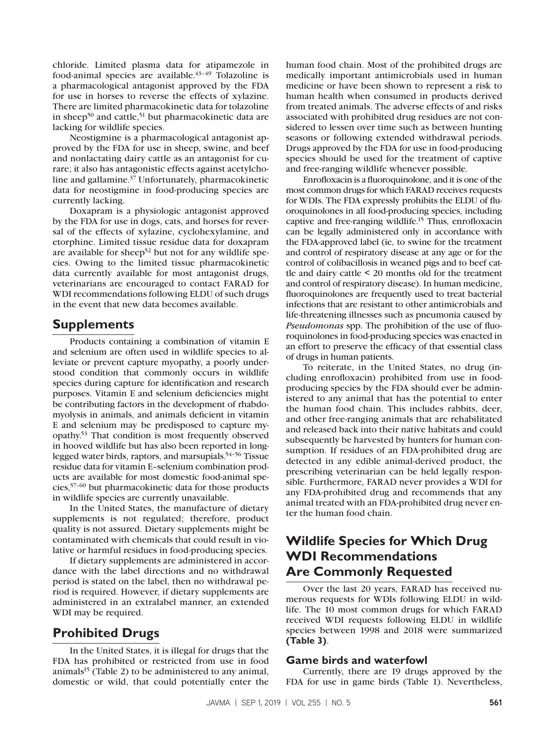chloride. Limited plasma data for atipamezole in food-animal species are available.43–49 Tolazoline is a pharmacological antagonist approved by the FDA for use in horses to reverse the effects of xylazine. There are limited pharmacokinetic data for tolazoline in sheep $50$  and cattle, $51$  but pharmacokinetic data are lacking for wildlife species.

Neostigmine is a pharmacological antagonist approved by the FDA for use in sheep, swine, and beef and nonlactating dairy cattle as an antagonist for curare; it also has antagonistic effects against acetylcholine and gallamine.37 Unfortunately, pharmacokinetic data for neostigmine in food-producing species are currently lacking.

Doxapram is a physiologic antagonist approved by the FDA for use in dogs, cats, and horses for reversal of the effects of xylazine, cyclohexylamine, and etorphine. Limited tissue residue data for doxapram are available for sheep52 but not for any wildlife species. Owing to the limited tissue pharmacokinetic data currently available for most antagonist drugs, veterinarians are encouraged to contact FARAD for WDI recommendations following ELDU of such drugs in the event that new data becomes available.

### **Supplements**

Products containing a combination of vitamin E and selenium are often used in wildlife species to alleviate or prevent capture myopathy, a poorly understood condition that commonly occurs in wildlife species during capture for identification and research purposes. Vitamin E and selenium deficiencies might be contributing factors in the development of rhabdomyolysis in animals, and animals deficient in vitamin E and selenium may be predisposed to capture myopathy.53 That condition is most frequently observed in hooved wildlife but has also been reported in longlegged water birds, raptors, and marsupials.<sup>54-56</sup> Tissue residue data for vitamin E–selenium combination products are available for most domestic food-animal species,57–60 but pharmacokinetic data for those products in wildlife species are currently unavailable.

In the United States, the manufacture of dietary supplements is not regulated; therefore, product quality is not assured. Dietary supplements might be contaminated with chemicals that could result in violative or harmful residues in food-producing species.

If dietary supplements are administered in accordance with the label directions and no withdrawal period is stated on the label, then no withdrawal period is required. However, if dietary supplements are administered in an extralabel manner, an extended WDI may be required.

### **Prohibited Drugs**

In the United States, it is illegal for drugs that the FDA has prohibited or restricted from use in food animals $15$  (Table 2) to be administered to any animal, domestic or wild, that could potentially enter the

human food chain. Most of the prohibited drugs are medically important antimicrobials used in human medicine or have been shown to represent a risk to human health when consumed in products derived from treated animals. The adverse effects of and risks associated with prohibited drug residues are not considered to lessen over time such as between hunting seasons or following extended withdrawal periods. Drugs approved by the FDA for use in food-producing species should be used for the treatment of captive and free-ranging wildlife whenever possible.

Enrofloxacin is a fluoroquinolone, and it is one of the most common drugs for which FARAD receives requests for WDIs. The FDA expressly prohibits the ELDU of fluoroquinolones in all food-producing species, including captive and free-ranging wildlife.15 Thus, enrofloxacin can be legally administered only in accordance with the FDA-approved label (ie, to swine for the treatment and control of respiratory disease at any age or for the control of colibacillosis in weaned pigs and to beef cattle and dairy cattle < 20 months old for the treatment and control of respiratory disease). In human medicine, fluoroquinolones are frequently used to treat bacterial infections that are resistant to other antimicrobials and life-threatening illnesses such as pneumonia caused by *Pseudomonas* spp. The prohibition of the use of fluoroquinolones in food-producing species was enacted in an effort to preserve the efficacy of that essential class of drugs in human patients.

To reiterate, in the United States, no drug (including enrofloxacin) prohibited from use in foodproducing species by the FDA should ever be administered to any animal that has the potential to enter the human food chain. This includes rabbits, deer, and other free-ranging animals that are rehabilitated and released back into their native habitats and could subsequently be harvested by hunters for human consumption. If residues of an FDA-prohibited drug are detected in any edible animal-derived product, the prescribing veterinarian can be held legally responsible. Furthermore, FARAD never provides a WDI for any FDA-prohibited drug and recommends that any animal treated with an FDA-prohibited drug never enter the human food chain.

## **Wildlife Species for Which Drug WDI Recommendations Are Commonly Requested**

Over the last 20 years, FARAD has received numerous requests for WDIs following ELDU in wildlife. The 10 most common drugs for which FARAD received WDI requests following ELDU in wildlife species between 1998 and 2018 were summarized **(Table 3)**.

#### **Game birds and waterfowl**

Currently, there are 19 drugs approved by the FDA for use in game birds (Table 1). Nevertheless,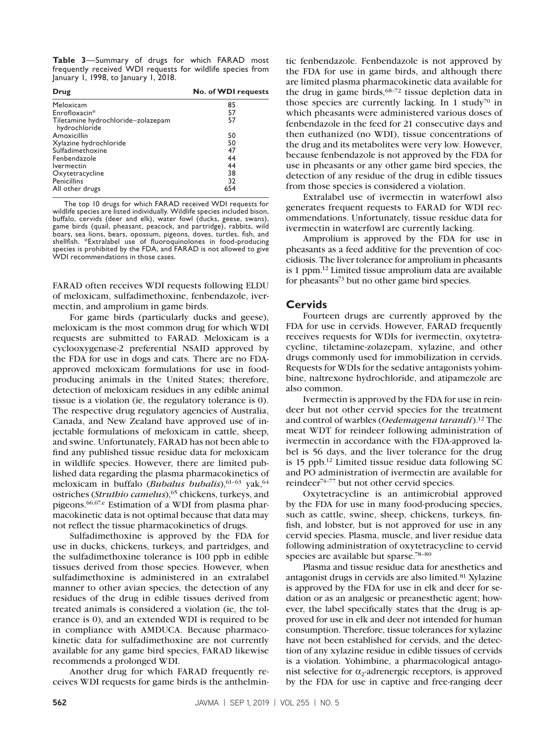**Table 3**—Summary of drugs for which FARAD most frequently received WDI requests for wildlife species from January 1, 1998, to January 1, 2018.

| Drug                                                | No. of WDI requests |
|-----------------------------------------------------|---------------------|
| Meloxicam                                           | 85                  |
| Enrofloxacin*                                       | 57                  |
| Tiletamine hydrochloride-zolazepam<br>hydrochloride | 57                  |
| Amoxicillin                                         | 50                  |
| Xylazine hydrochloride                              | 50                  |
| Sulfadimethoxine                                    | 47                  |
| Fenbendazole                                        | 44                  |
| <b>Ivermectin</b>                                   | 44                  |
| Oxytetracycline                                     | 38                  |
| Penicillins                                         | 32                  |
| All other drugs                                     | 654                 |

The top 10 drugs for which FARAD received WDI requests for wildlife species are listed individually. Wildlife species included bison, buffalo, cervids (deer and elk), water fowl (ducks, geese, swans), game birds (quail, pheasant, peacock, and partridge), rabbits, wild boars, sea lions, bears, opossum, pigeons, doves, turtles, fish, and shellfish. \*Extralabel use of fluoroquinolones in food-producing species is prohibited by the FDA, and FARAD is not allowed to give WDI recommendations in those cases.

FARAD often receives WDI requests following ELDU of meloxicam, sulfadimethoxine, fenbendazole, ivermectin, and amprolium in game birds.

For game birds (particularly ducks and geese), meloxicam is the most common drug for which WDI requests are submitted to FARAD. Meloxicam is a cyclooxygenase-2 preferential NSAID approved by the FDA for use in dogs and cats. There are no FDAapproved meloxicam formulations for use in foodproducing animals in the United States; therefore, detection of meloxicam residues in any edible animal tissue is a violation (ie, the regulatory tolerance is 0). The respective drug regulatory agencies of Australia, Canada, and New Zealand have approved use of injectable formulations of meloxicam in cattle, sheep, and swine. Unfortunately, FARAD has not been able to find any published tissue residue data for meloxicam in wildlife species. However, there are limited published data regarding the plasma pharmacokinetics of meloxicam in buffalo (*Bubalus bubalis*),<sup>61-63</sup> yak,<sup>64</sup> ostriches (*Struthio camelus*),<sup>65</sup> chickens, turkeys, and pigeons.66,67,e Estimation of a WDI from plasma pharmacokinetic data is not optimal because that data may not reflect the tissue pharmacokinetics of drugs.

Sulfadimethoxine is approved by the FDA for use in ducks, chickens, turkeys, and partridges, and the sulfadimethoxine tolerance is 100 ppb in edible tissues derived from those species. However, when sulfadimethoxine is administered in an extralabel manner to other avian species, the detection of any residues of the drug in edible tissues derived from treated animals is considered a violation (ie, the tolerance is 0), and an extended WDI is required to be in compliance with AMDUCA. Because pharmacokinetic data for sulfadimethoxine are not currently available for any game bird species, FARAD likewise recommends a prolonged WDI.

Another drug for which FARAD frequently receives WDI requests for game birds is the anthelmin-

tic fenbendazole. Fenbendazole is not approved by the FDA for use in game birds, and although there are limited plasma pharmacokinetic data available for the drug in game birds, $68-72$  tissue depletion data in those species are currently lacking. In 1 study<sup>70</sup> in which pheasants were administered various doses of fenbendazole in the feed for 21 consecutive days and then euthanized (no WDI), tissue concentrations of the drug and its metabolites were very low. However, because fenbendazole is not approved by the FDA for use in pheasants or any other game bird species, the detection of any residue of the drug in edible tissues from those species is considered a violation.

Extralabel use of ivermectin in waterfowl also generates frequent requests to FARAD for WDI recommendations. Unfortunately, tissue residue data for ivermectin in waterfowl are currently lacking.

Amprolium is approved by the FDA for use in pheasants as a feed additive for the prevention of coccidiosis. The liver tolerance for amprolium in pheasants is 1 ppm.12 Limited tissue amprolium data are available for pheasants<sup>73</sup> but no other game bird species.

#### **Cervids**

Fourteen drugs are currently approved by the FDA for use in cervids. However, FARAD frequently receives requests for WDIs for ivermectin, oxytetracycline, tiletamine-zolazepam, xylazine, and other drugs commonly used for immobilization in cervids. Requests for WDIs for the sedative antagonists yohimbine, naltrexone hydrochloride, and atipamezole are also common.

Ivermectin is approved by the FDA for use in reindeer but not other cervid species for the treatment and control of warbles (*Oedemagena tarandi*).12 The meat WDT for reindeer following administration of ivermectin in accordance with the FDA-approved label is 56 days, and the liver tolerance for the drug is 15 ppb.12 Limited tissue residue data following SC and PO administration of ivermectin are available for reindeer $74-77$  but not other cervid species.

Oxytetracycline is an antimicrobial approved by the FDA for use in many food-producing species, such as cattle, swine, sheep, chickens, turkeys, finfish, and lobster, but is not approved for use in any cervid species. Plasma, muscle, and liver residue data following administration of oxytetracycline to cervid species are available but sparse.<sup>78-80</sup>

Plasma and tissue residue data for anesthetics and antagonist drugs in cervids are also limited.81 Xylazine is approved by the FDA for use in elk and deer for sedation or as an analgesic or preanesthetic agent; however, the label specifically states that the drug is approved for use in elk and deer not intended for human consumption. Therefore, tissue tolerances for xylazine have not been established for cervids, and the detection of any xylazine residue in edible tissues of cervids is a violation. Yohimbine, a pharmacological antagonist selective for  $\alpha_2$ -adrenergic receptors, is approved by the FDA for use in captive and free-ranging deer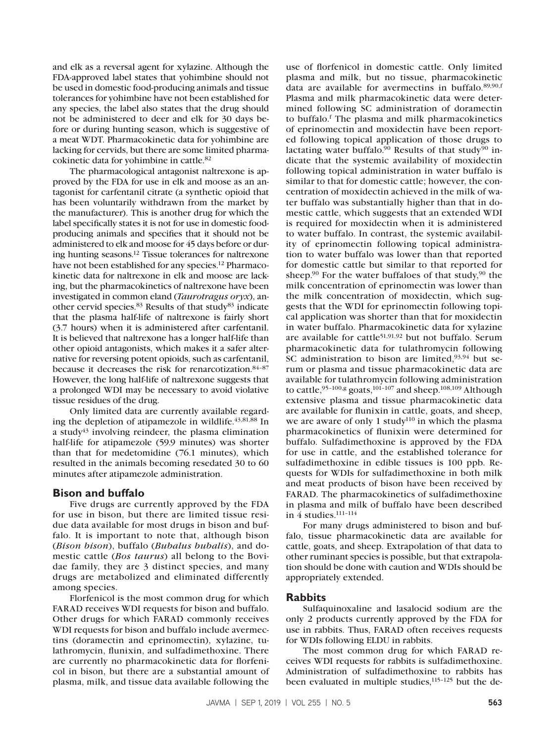and elk as a reversal agent for xylazine. Although the FDA-approved label states that yohimbine should not be used in domestic food-producing animals and tissue tolerances for yohimbine have not been established for any species, the label also states that the drug should not be administered to deer and elk for 30 days before or during hunting season, which is suggestive of a meat WDT. Pharmacokinetic data for yohimbine are lacking for cervids, but there are some limited pharmacokinetic data for yohimbine in cattle.82

The pharmacological antagonist naltrexone is approved by the FDA for use in elk and moose as an antagonist for carfentanil citrate (a synthetic opioid that has been voluntarily withdrawn from the market by the manufacturer). This is another drug for which the label specifically states it is not for use in domestic foodproducing animals and specifies that it should not be administered to elk and moose for 45 days before or during hunting seasons.12 Tissue tolerances for naltrexone have not been established for any species.<sup>12</sup> Pharmacokinetic data for naltrexone in elk and moose are lacking, but the pharmacokinetics of naltrexone have been investigated in common eland (*Taurotragus oryx*), another cervid species.<sup>83</sup> Results of that study<sup>83</sup> indicate that the plasma half-life of naltrexone is fairly short (3.7 hours) when it is administered after carfentanil. It is believed that naltrexone has a longer half-life than other opioid antagonists, which makes it a safer alternative for reversing potent opioids, such as carfentanil, because it decreases the risk for renarcotization.84–87 However, the long half-life of naltrexone suggests that a prolonged WDI may be necessary to avoid violative tissue residues of the drug.

Only limited data are currently available regarding the depletion of atipamezole in wildlife. $43,81,88$  In a study $43$  involving reindeer, the plasma elimination half-life for atipamezole (59.9 minutes) was shorter than that for medetomidine (76.1 minutes), which resulted in the animals becoming resedated 30 to 60 minutes after atipamezole administration.

#### **Bison and buffalo**

Five drugs are currently approved by the FDA for use in bison, but there are limited tissue residue data available for most drugs in bison and buffalo. It is important to note that, although bison (*Bison bison*), buffalo (*Bubalus bubalis*), and domestic cattle (*Bos taurus*) all belong to the Bovidae family, they are 3 distinct species, and many drugs are metabolized and eliminated differently among species.

Florfenicol is the most common drug for which FARAD receives WDI requests for bison and buffalo. Other drugs for which FARAD commonly receives WDI requests for bison and buffalo include avermectins (doramectin and eprinomectin), xylazine, tulathromycin, flunixin, and sulfadimethoxine. There are currently no pharmacokinetic data for florfenicol in bison, but there are a substantial amount of plasma, milk, and tissue data available following the

use of florfenicol in domestic cattle. Only limited plasma and milk, but no tissue, pharmacokinetic data are available for avermectins in buffalo.<sup>89,90,f</sup> Plasma and milk pharmacokinetic data were determined following SC administration of doramectin to buffalo.<sup>f</sup> The plasma and milk pharmacokinetics of eprinomectin and moxidectin have been reported following topical application of those drugs to lactating water buffalo.<sup>90</sup> Results of that study<sup>90</sup> indicate that the systemic availability of moxidectin following topical administration in water buffalo is similar to that for domestic cattle; however, the concentration of moxidectin achieved in the milk of water buffalo was substantially higher than that in domestic cattle, which suggests that an extended WDI is required for moxidectin when it is administered to water buffalo. In contrast, the systemic availability of eprinomectin following topical administration to water buffalo was lower than that reported for domestic cattle but similar to that reported for sheep. $90$  For the water buffaloes of that study, $90$  the milk concentration of eprinomectin was lower than the milk concentration of moxidectin, which suggests that the WDI for eprinomectin following topical application was shorter than that for moxidectin in water buffalo. Pharmacokinetic data for xylazine are available for cattle<sup>51,91,92</sup> but not buffalo. Serum pharmacokinetic data for tulathromycin following SC administration to bison are limited,  $93.94$  but serum or plasma and tissue pharmacokinetic data are available for tulathromycin following administration to cattle,<sup>95-100,g</sup> goats,<sup>101-107</sup> and sheep.<sup>108,109</sup> Although extensive plasma and tissue pharmacokinetic data are available for flunixin in cattle, goats, and sheep, we are aware of only 1 study<sup>110</sup> in which the plasma pharmacokinetics of flunixin were determined for buffalo. Sulfadimethoxine is approved by the FDA for use in cattle, and the established tolerance for sulfadimethoxine in edible tissues is 100 ppb. Requests for WDIs for sulfadimethoxine in both milk and meat products of bison have been received by FARAD. The pharmacokinetics of sulfadimethoxine in plasma and milk of buffalo have been described in 4 studies.111–114

For many drugs administered to bison and buffalo, tissue pharmacokinetic data are available for cattle, goats, and sheep. Extrapolation of that data to other ruminant species is possible, but that extrapolation should be done with caution and WDIs should be appropriately extended.

#### **Rabbits**

Sulfaquinoxaline and lasalocid sodium are the only 2 products currently approved by the FDA for use in rabbits. Thus, FARAD often receives requests for WDIs following ELDU in rabbits.

The most common drug for which FARAD receives WDI requests for rabbits is sulfadimethoxine. Administration of sulfadimethoxine to rabbits has been evaluated in multiple studies,<sup>115-125</sup> but the de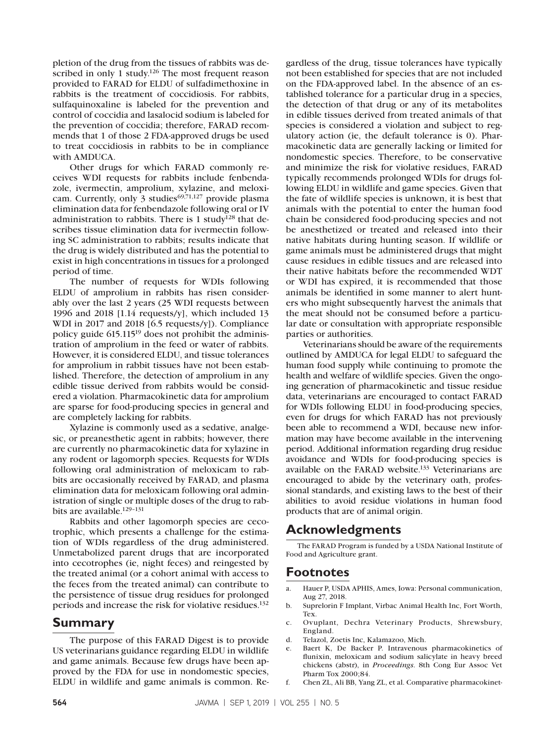pletion of the drug from the tissues of rabbits was described in only 1 study.<sup>126</sup> The most frequent reason provided to FARAD for ELDU of sulfadimethoxine in rabbits is the treatment of coccidiosis. For rabbits, sulfaquinoxaline is labeled for the prevention and control of coccidia and lasalocid sodium is labeled for the prevention of coccidia; therefore, FARAD recommends that 1 of those 2 FDA-approved drugs be used to treat coccidiosis in rabbits to be in compliance with AMDUCA.

Other drugs for which FARAD commonly receives WDI requests for rabbits include fenbendazole, ivermectin, amprolium, xylazine, and meloxicam. Currently, only 3 studies $69,71,127$  provide plasma elimination data for fenbendazole following oral or IV administration to rabbits. There is 1 study<sup>128</sup> that describes tissue elimination data for ivermectin following SC administration to rabbits; results indicate that the drug is widely distributed and has the potential to exist in high concentrations in tissues for a prolonged period of time.

The number of requests for WDIs following ELDU of amprolium in rabbits has risen considerably over the last 2 years (25 WDI requests between 1996 and 2018 [1.14 requests/y], which included 13 WDI in 2017 and 2018 [6.5 requests/y]). Compliance policy guide 615.11519 does not prohibit the administration of amprolium in the feed or water of rabbits. However, it is considered ELDU, and tissue tolerances for amprolium in rabbit tissues have not been established. Therefore, the detection of amprolium in any edible tissue derived from rabbits would be considered a violation. Pharmacokinetic data for amprolium are sparse for food-producing species in general and are completely lacking for rabbits.

Xylazine is commonly used as a sedative, analgesic, or preanesthetic agent in rabbits; however, there are currently no pharmacokinetic data for xylazine in any rodent or lagomorph species. Requests for WDIs following oral administration of meloxicam to rabbits are occasionally received by FARAD, and plasma elimination data for meloxicam following oral administration of single or multiple doses of the drug to rabbits are available.129–131

Rabbits and other lagomorph species are cecotrophic, which presents a challenge for the estimation of WDIs regardless of the drug administered. Unmetabolized parent drugs that are incorporated into cecotrophes (ie, night feces) and reingested by the treated animal (or a cohort animal with access to the feces from the treated animal) can contribute to the persistence of tissue drug residues for prolonged periods and increase the risk for violative residues.132

#### **Summary**

The purpose of this FARAD Digest is to provide US veterinarians guidance regarding ELDU in wildlife and game animals. Because few drugs have been approved by the FDA for use in nondomestic species, ELDU in wildlife and game animals is common. Re-

gardless of the drug, tissue tolerances have typically not been established for species that are not included on the FDA-approved label. In the absence of an established tolerance for a particular drug in a species, the detection of that drug or any of its metabolites in edible tissues derived from treated animals of that species is considered a violation and subject to regulatory action (ie, the default tolerance is 0). Pharmacokinetic data are generally lacking or limited for nondomestic species. Therefore, to be conservative and minimize the risk for violative residues, FARAD typically recommends prolonged WDIs for drugs following ELDU in wildlife and game species. Given that the fate of wildlife species is unknown, it is best that animals with the potential to enter the human food chain be considered food-producing species and not be anesthetized or treated and released into their native habitats during hunting season. If wildlife or game animals must be administered drugs that might cause residues in edible tissues and are released into their native habitats before the recommended WDT or WDI has expired, it is recommended that those animals be identified in some manner to alert hunters who might subsequently harvest the animals that the meat should not be consumed before a particular date or consultation with appropriate responsible parties or authorities.

Veterinarians should be aware of the requirements outlined by AMDUCA for legal ELDU to safeguard the human food supply while continuing to promote the health and welfare of wildlife species. Given the ongoing generation of pharmacokinetic and tissue residue data, veterinarians are encouraged to contact FARAD for WDIs following ELDU in food-producing species, even for drugs for which FARAD has not previously been able to recommend a WDI, because new information may have become available in the intervening period. Additional information regarding drug residue avoidance and WDIs for food-producing species is available on the FARAD website.133 Veterinarians are encouraged to abide by the veterinary oath, professional standards, and existing laws to the best of their abilities to avoid residue violations in human food products that are of animal origin.

### **Acknowledgments**

The FARAD Program is funded by a USDA National Institute of Food and Agriculture grant.

### **Footnotes**

- a. Hauer P, USDA APHIS, Ames, Iowa: Personal communication, Aug 27, 2018.
- b. Suprelorin F Implant, Virbac Animal Health Inc, Fort Worth, Tex.
- c. Ovuplant, Dechra Veterinary Products, Shrewsbury, England.
- d. Telazol, Zoetis Inc, Kalamazoo, Mich.
- e. Baert K, De Backer P. Intravenous pharmacokinetics of flunixin, meloxicam and sodium salicylate in heavy breed chickens (abstr), in *Proceedings*. 8th Cong Eur Assoc Vet Pharm Tox 2000;84.
- f. Chen ZL, Ali BB, Yang ZL, et al. Comparative pharmacokinet-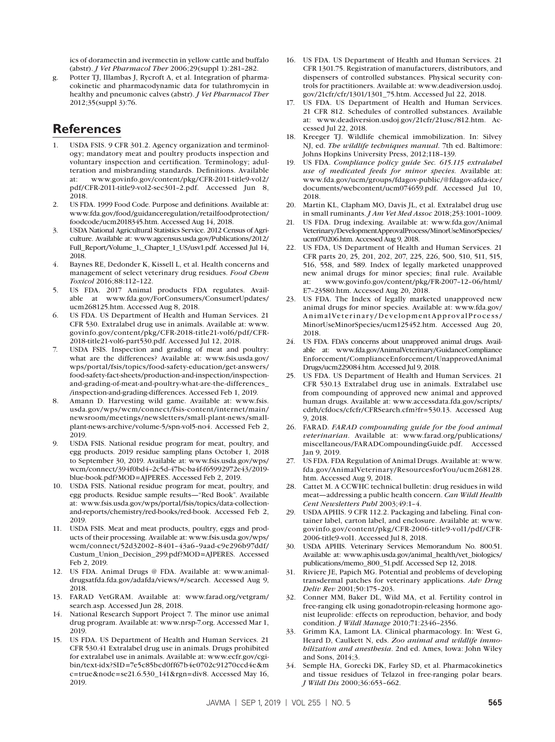ics of doramectin and ivermectin in yellow cattle and buffalo (abstr). *J Vet Pharmacol Ther* 2006;29(suppl 1):281–282.

g. Potter TJ, Illambas J, Rycroft A, et al. Integration of pharmacokinetic and pharmacodynamic data for tulathromycin in healthy and pneumonic calves (abstr). *J Vet Pharmacol Ther* 2012;35(suppl 3):76.

## **References**

- 1. USDA FSIS. 9 CFR 301.2. Agency organization and terminology; mandatory meat and poultry products inspection and voluntary inspection and certification. Terminology; adulteration and misbranding standards. Definitions. Available at: www.govinfo.gov/content/pkg/CFR-2011-title9-vol2/ pdf/CFR-2011-title9-vol2-sec301–2.pdf. Accessed Jun 8, 2018.
- 2. US FDA. 1999 Food Code. Purpose and definitions. Available at: www.fda.gov/food/guidanceregulation/retailfoodprotection/ foodcode/ucm2018345.htm. Accessed Aug 14, 2018.
- 3. USDA National Agricultural Statistics Service. 2012 Census of Agriculture. Available at: www.agcensus.usda.gov/Publications/2012/ Full\_Report/Volume\_1,\_Chapter\_1\_US/usv1.pdf. Accessed Jul 14, 2018.
- Baynes RE, Dedonder K, Kissell L, et al. Health concerns and management of select veterinary drug residues. *Food Chem Toxicol* 2016;88:112–122.
- 5. US FDA. 2017 Animal products FDA regulates. Available at www.fda.gov/ForConsumers/ConsumerUpdates/ ucm268125.htm. Accessed Aug 8, 2018.
- 6. US FDA. US Department of Health and Human Services. 21 CFR 530. Extralabel drug use in animals. Available at: www. govinfo.gov/content/pkg/CFR-2018-title21-vol6/pdf/CFR-2018-title21-vol6-part530.pdf. Accessed Jul 12, 2018.
- 7. USDA FSIS. Inspection and grading of meat and poultry: what are the differences? Available at: www.fsis.usda.gov/ wps/portal/fsis/topics/food-safety-education/get-answers/ food-safety-fact-sheets/production-and-inspection/inspectionand-grading-of-meat-and-poultry-what-are-the-differences\_ /inspection-and-grading-differences. Accessed Feb 1, 2019.
- Amann D. Harvesting wild game. Available at: www.fsis. usda.gov/wps/wcm/connect/fsis-content/internet/main/ newsroom/meetings/newsletters/small-plant-news/smallplant-news-archive/volume-5/spn-vol5-no4. Accessed Feb 2, 2019.
- 9. USDA FSIS. National residue program for meat, poultry, and egg products. 2019 residue sampling plans October 1, 2018 to September 30, 2019. Available at: www.fsis.usda.gov/wps/ wcm/connect/394f0bd4–2c5d-47bc-ba4f-f65992972e43/2019 blue-book.pdf?MOD=AJPERES. Accessed Feb 2, 2019.
- 10. USDA FSIS. National residue program for meat, poultry, and egg products. Residue sample results—"Red Book". Available at: www.fsis.usda.gov/wps/portal/fsis/topics/data-collectionand-reports/chemistry/red-books/red-book. Accessed Feb 2, 2019.
- 11. USDA FSIS. Meat and meat products, poultry, eggs and products of their processing. Available at: www.fsis.usda.gov/wps/ wcm/connect/52d32002–8401–43a6–9aad-c9e296b97ddf/ Custum\_Union\_Decision\_299.pdf?MOD=AJPERES. Accessed Feb 2, 2019.
- 12. US FDA. Animal Drugs @ FDA. Available at: www.animaldrugsatfda.fda.gov/adafda/views/#/search. Accessed Aug 9, 2018.
- 13. FARAD VetGRAM. Available at: www.farad.org/vetgram/ search.asp. Accessed Jun 28, 2018.
- 14. National Research Support Project 7. The minor use animal drug program. Available at: www.nrsp-7.org. Accessed Mar 1, 2019.
- 15. US FDA. US Department of Health and Human Services. 21 CFR 530.41 Extralabel drug use in animals. Drugs prohibited for extralabel use in animals. Available at: www.ecfr.gov/cgibin/text-idx?SID=7e5c85bcd0ff67b4e0702c91270ccd4e&m c=true&node=se21.6.530\_141&rgn=div8. Accessed May 16, 2019.
- 16. US FDA. US Department of Health and Human Services. 21 CFR 1301.75. Registration of manufacturers, distributors, and dispensers of controlled substances. Physical security controls for practitioners. Available at: www.deadiversion.usdoj. gov/21cfr/cfr/1301/1301\_75.htm. Accessed Jul 22, 2018.
- 17. US FDA. US Department of Health and Human Services. 21 CFR 812. Schedules of controlled substances. Available at: www.deadiversion.usdoj.gov/21cfr/21usc/812.htm. Accessed Jul 22, 2018.
- 18. Kreeger TJ. Wildlife chemical immobilization. In: Silvey NJ, ed. *The wildlife techniques manual*. 7th ed. Baltimore: Johns Hopkins University Press, 2012;118–139.
- 19. US FDA. *Compliance policy guide Sec. 615.115 extralabel use of medicated feeds for minor species*. Available at: www.fda.gov/ucm/groups/fdagov-public/@fdagov-afda-ice/ documents/webcontent/ucm074659.pdf. Accessed Jul 10, 2018.
- 20. Martin KL, Clapham MO, Davis JL, et al. Extralabel drug use in small ruminants. *J Am Vet Med Assoc* 2018;253:1001–1009.
- 21. US FDA. Drug indexing. Available at: www.fda.gov/Animal Veterinary/DevelopmentApprovalProcess/MinorUseMinorSpecies/ ucm070206.htm. Accessed Aug 9, 2018.
- 22. US FDA, US Department of Health and Human Services. 21 CFR parts 20, 25, 201, 202, 207, 225, 226, 500, 510, 511, 515, 516, 558, and 589. Index of legally marketed unapproved new animal drugs for minor species; final rule. Available at: www.govinfo.gov/content/pkg/FR-2007–12–06/html/ E7–23580.htm. Accessed Aug 20, 2018.
- 23. US FDA. The Index of legally marketed unapproved new animal drugs for minor species. Available at: www.fda.gov/ AnimalVeterinary/DevelopmentApprovalProcess/ MinorUseMinorSpecies/ucm125452.htm. Accessed Aug 20, 2018.
- 24. US FDA. FDA's concerns about unapproved animal drugs. Available at: www.fda.gov/AnimalVeterinary/GuidanceCompliance Enforcement/ComplianceEnforcement/UnapprovedAnimal Drugs/ucm229084.htm. Accessed Jul 9, 2018.
- 25. US FDA. US Department of Health and Human Services. 21 CFR 530.13 Extralabel drug use in animals. Extralabel use from compounding of approved new animal and approved human drugs. Available at: www.accessdata.fda.gov/scripts/ cdrh/cfdocs/cfcfr/CFRSearch.cfm?fr=530.13. Accessed Aug 9, 2018.
- 26. FARAD. *FARAD compounding guide for the food animal veterinarian*. Available at: www.farad.org/publications/ miscellaneous/FARADCompoundingGuide.pdf. Accessed Jan 9, 2019.
- 27. US FDA. FDA Regulation of Animal Drugs. Available at: www. fda.gov/AnimalVeterinary/ResourcesforYou/ucm268128. htm. Accessed Aug 9, 2018.
- 28. Cattet M. A CCWHC technical bulletin: drug residues in wild meat—addressing a public health concern. *Can Wildl Health Cent Newsletters Publ* 2003;49:1–4.
- 29. USDA APHIS. 9 CFR 112.2. Packaging and labeling. Final container label, carton label, and enclosure. Available at: www. govinfo.gov/content/pkg/CFR-2006-title9-vol1/pdf/CFR-2006-title9-vol1. Accessed Jul 8, 2018.
- 30. USDA APHIS. Veterinary Services Memorandum No. 800.51. Available at: www.aphis.usda.gov/animal\_health/vet\_biologics/ publications/memo\_800\_51.pdf. Accessed Sep 12, 2018.
- 31. Riviere JE, Papich MG. Potential and problems of developing transdermal patches for veterinary applications. *Adv Drug Deliv Rev* 2001;50:175–203.
- 32. Conner MM, Baker DL, Wild MA, et al. Fertility control in free-ranging elk using gonadotropin-releasing hormone agonist leuprolide: effects on reproduction, behavior, and body condition. *J Wildl Manage* 2010;71:2346–2356.
- 33. Grimm KA, Lamont LA. Clinical pharmacology. In: West G, Heard D, Caulkett N, eds. *Zoo animal and wildlife immobilization and anesthesia*. 2nd ed. Ames, Iowa: John Wiley and Sons, 2014;3.
- 34. Semple HA, Gorecki DK, Farley SD, et al. Pharmacokinetics and tissue residues of Telazol in free-ranging polar bears. *J Wildl Dis* 2000;36:653–662.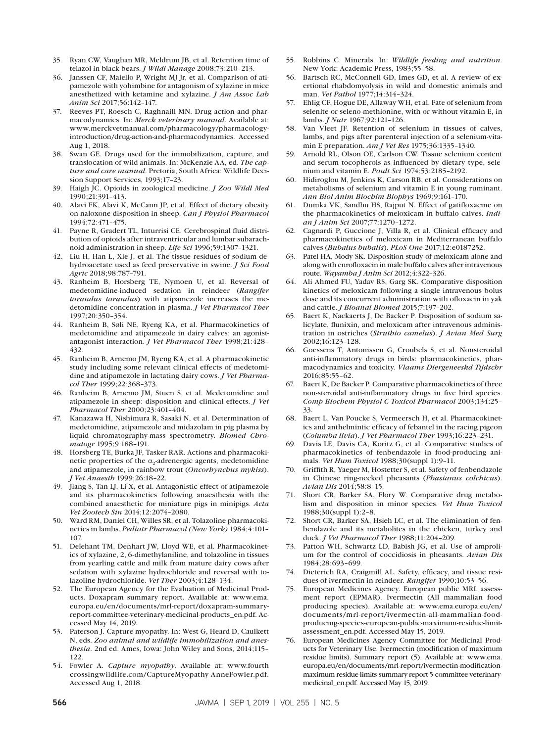- 35. Ryan CW, Vaughan MR, Meldrum JB, et al. Retention time of telazol in black bears. *J Wildl Manage* 2008;73:210–213.
- 36. Janssen CF, Maiello P, Wright MJ Jr, et al. Comparison of atipamezole with yohimbine for antagonism of xylazine in mice anesthetized with ketamine and xylazine. *J Am Assoc Lab Anim Sci* 2017;56:142–147.
- 37. Reeves PT, Roesch C, Raghnaill MN. Drug action and pharmacodynamics. In: *Merck veterinary manual*. Available at: www.merckvetmanual.com/pharmacology/pharmacologyintroduction/drug-action-and-pharmacodynamics. Accessed Aug 1, 2018.
- 38. Swan GE. Drugs used for the immobilization, capture, and translocation of wild animals. In: McKenzie AA, ed. *The capture and care manual*. Pretoria, South Africa: Wildlife Decision Support Services, 1993;17–23.
- 39. Haigh JC. Opioids in zoological medicine. *J Zoo Wildl Med* 1990;21:391–413.
- 40. Alavi FK, Alavi K, McCann JP, et al. Effect of dietary obesity on naloxone disposition in sheep. *Can J Physiol Pharmacol* 1994;72:471–475.
- 41. Payne R, Gradert TL, Inturrisi CE. Cerebrospinal fluid distribution of opioids after intraventricular and lumbar subarachnoid administration in sheep. *Life Sci* 1996;59:1307–1321.
- 42. Liu H, Han L, Xie J, et al. The tissue residues of sodium dehydroacetate used as feed preservative in swine. *J Sci Food Agric* 2018;98:787–791.
- 43. Ranheim B, Horsberg TE, Nymoen U, et al. Reversal of medetomidine-induced sedation in reindeer (*Rangifer tarandus tarandus*) with atipamezole increases the medetomidine concentration in plasma. *J Vet Pharmacol Ther* 1997;20:350–354.
- 44. Ranheim B, Søli NE, Ryeng KA, et al. Pharmacokinetics of medetomidine and atipamezole in dairy calves: an agonistantagonist interaction. *J Vet Pharmacol Ther* 1998;21:428– 432.
- 45. Ranheim B, Arnemo JM, Ryeng KA, et al. A pharmacokinetic study including some relevant clinical effects of medetomidine and atipamezole in lactating dairy cows. *J Vet Pharmacol Ther* 1999;22:368–373.
- 46. Ranheim B, Arnemo JM, Stuen S, et al. Medetomidine and atipamezole in sheep: disposition and clinical effects. *J Vet Pharmacol Ther* 2000;23:401–404.
- 47. Kanazawa H, Nishimura R, Sasaki N, et al. Determination of medetomidine, atipamezole and midazolam in pig plasma by liquid chromatography-mass spectrometry. *Biomed Chromatogr* 1995;9:188–191.
- 48. Horsberg TE, Burka JF, Tasker RAR. Actions and pharmacokinetic properties of the  $\alpha_2$ -adrenergic agents, medetomidine and atipamezole, in rainbow trout (*Oncorhynchus mykiss*). *J Vet Anaesth* 1999;26:18–22.
- 49. Jiang S, Tan LJ, Li X, et al. Antagonistic effect of atipamezole and its pharmacokinetics following anaesthesia with the combined anaesthetic for miniature pigs in minipigs. *Acta Vet Zootech Sin* 2014;12:2074–2080.
- 50. Ward RM, Daniel CH, Willes SR, et al. Tolazoline pharmacokinetics in lambs. *Pediatr Pharmacol (New York)* 1984;4:101– 107.
- 51. Delehant TM, Denhart JW, Lloyd WE, et al. Pharmacokinetics of xylazine, 2, 6-dimethylaniline, and tolazoline in tissues from yearling cattle and milk from mature dairy cows after sedation with xylazine hydrochloride and reversal with tolazoline hydrochloride. *Vet Ther* 2003;4:128–134.
- 52. The European Agency for the Evaluation of Medicinal Products. Doxapram summary report. Available at: www.ema. europa.eu/en/documents/mrl-report/doxapram-summaryreport-committee-veterinary-medicinal-products\_en.pdf. Accessed May 14, 2019.
- 53. Paterson J. Capture myopathy. In: West G, Heard D, Caulkett N, eds. *Zoo animal and wildlife immobilization and anesthesia*. 2nd ed. Ames, Iowa: John Wiley and Sons, 2014;115– 122.
- 54. Fowler A. *Capture myopathy*. Available at: www.fourth crossingwildlife.com/CaptureMyopathy-AnneFowler.pdf. Accessed Aug 1, 2018.
- 55. Robbins C. Minerals. In: *Wildlife feeding and nutrition*. New York: Academic Press, 1983;55–58.
- 56. Bartsch RC, McConnell GD, Imes GD, et al. A review of exertional rhabdomyolysis in wild and domestic animals and man. *Vet Pathol* 1977;14:314–324.
- 57. Ehlig CF, Hogue DE, Allaway WH, et al. Fate of selenium from selenite or seleno-methionine, with or without vitamin E, in lambs. *J Nutr* 1967;92:121–126.
- 58. Van Vleet JF. Retention of selenium in tissues of calves, lambs, and pigs after parenteral injection of a selenium-vitamin E preparation. *Am J Vet Res* 1975;36:1335–1340.
- 59. Arnold RL, Olson OE, Carlson CW. Tissue selenium content and serum tocopherols as influenced by dietary type, selenium and vitamin E. *Poult Sci* 1974;53:2185–2192.
- 60. Hidiroglou M, Jenkins K, Carson RB, et al. Considerations on metabolisms of selenium and vitamin E in young ruminant. *Ann Biol Anim Biochim Biophys* 1969;9:161–170.
- 61. Dumka VK, Sandhu HS, Rajput N. Effect of gatifloxacine on the pharmacokinetics of meloxicam in buffalo calves. *Indian J Anim Sci* 2007;77:1270–1272.
- 62. Cagnardi P, Guccione J, Villa R, et al. Clinical efficacy and pharmacokinetics of meloxicam in Mediterranean buffalo calves (*Bubalus bubalis*). *PLoS One* 2017;12:e0187252.
- 63. Patel HA, Mody SK. Disposition study of meloxicam alone and along with enrofloxacin in male buffalo calves after intravenous route. *Wayamba J Anim Sci* 2012;4:322–326.
- 64. Ali Ahmed FU, Yadav RS, Garg SK. Comparative disposition kinetics of meloxicam following a single intravenous bolus dose and its concurrent administration with ofloxacin in yak and cattle. *J Bioanal Biomed* 2015;7:197–202.
- 65. Baert K, Nackaerts J, De Backer P. Disposition of sodium salicylate, flunixin, and meloxicam after intravenous administration in ostriches (*Struthio camelus*). *J Avian Med Surg* 2002;16:123–128.
- 66. Goessens T, Antonissen G, Croubels S, et al. Nonsteroidal anti-inflammatory drugs in birds: pharmacokinetics, pharmacodynamics and toxicity. *Vlaams Diergeneeskd Tijdschr* 2016;85:55–62.
- 67. Baert K, De Backer P. Comparative pharmacokinetics of three non-steroidal anti-inflammatory drugs in five bird species. *Comp Biochem Physiol C Toxicol Pharmacol* 2003;134:25– 33.
- 68. Baert L, Van Poucke S, Vermeersch H, et al. Pharmacokinetics and anthelmintic efficacy of febantel in the racing pigeon (*Columba livia*). *J Vet Pharmacol Ther* 1993;16:223–231.
- 69. Davis LE, Davis CA, Koritz G, et al. Comparative studies of pharmacokinetics of fenbendazole in food-producing animals. *Vet Hum Toxicol* 1988;30(suppl 1):9–11.
- 70. Griffith R, Yaeger M, Hostetter S, et al. Safety of fenbendazole in Chinese ring-necked pheasants (*Phasianus colchicus*). *Avian Dis* 2014;58:8–15.
- 71. Short CR, Barker SA, Flory W. Comparative drug metabolism and disposition in minor species. *Vet Hum Toxicol* 1988;30(suppl 1):2–8.
- 72. Short CR, Barker SA, Hsieh LC, et al. The elimination of fenbendazole and its metabolites in the chicken, turkey and duck. *J Vet Pharmacol Ther* 1988;11:204–209.
- 73. Patton WH, Schwartz LD, Babish JG, et al. Use of amprolium for the control of coccidiosis in pheasants. *Avian Dis* 1984;28:693–699.
- 74. Dieterich RA, Craigmill AL. Safety, efficacy, and tissue residues of ivermectin in reindeer. *Rangifer* 1990;10:53–56.
- 75. European Medicines Agency. European public MRL assessment report (EPMAR). Ivermectin (All mammalian food producing species). Available at: www.ema.europa.eu/en/ documents/mrl-report/ivermectin-all-mammalian-foodproducing-species-european-public-maximum-residue-limitassessment\_en.pdf. Accessed May 15, 2019.
- European Medicines Agency Committee for Medicinal Products for Veterinary Use. Ivermectin (modification of maximum residue limits). Summary report (5). Available at: www.ema. europa.eu/en/documents/mrl-report/ivermectin-modificationmaximum-residue-limits-summary-report-5-committee-veterinarymedicinal\_en.pdf. Accessed May 15, 2019.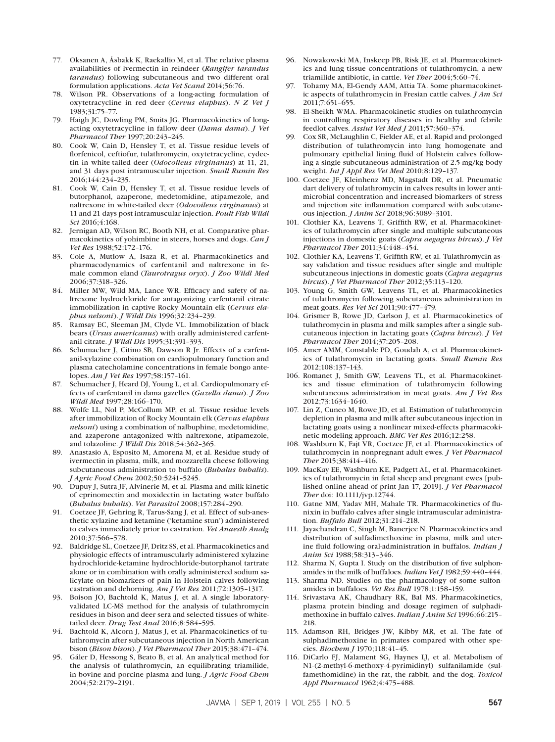- 77. Oksanen A, Åsbakk K, Raekallio M, et al. The relative plasma availabilities of ivermectin in reindeer (*Rangifer tarandus tarandus*) following subcutaneous and two different oral formulation applications. *Acta Vet Scand* 2014;56:76.
- 78. Wilson PR. Observations of a long-acting formulation of oxytetracycline in red deer (*Cervus elaphus*). *N Z Vet J* 1983;31:75–77.
- 79. Haigh JC, Dowling PM, Smits JG. Pharmacokinetics of longacting oxytetracycline in fallow deer (*Dama dama*). *J Vet Pharmacol Ther* 1997;20:243–245.
- 80. Cook W, Cain D, Hensley T, et al. Tissue residue levels of florfenicol, ceftiofur, tulathromycin, oxytetracycline, cydectin in white-tailed deer (*Odocoileus virginanus*) at 11, 21, and 31 days post intramuscular injection. *Small Rumin Res* 2016;144:234–235.
- 81. Cook W, Cain D, Hensley T, et al. Tissue residue levels of butorphanol, azaperone, medetomidine, atipamezole, and naltrexone in white-tailed deer (*Odocoileus virginanus*) at 11 and 21 days post intramuscular injection. *Poult Fish Wildl Sci* 2016;4:168.
- 82. Jernigan AD, Wilson RC, Booth NH, et al. Comparative pharmacokinetics of yohimbine in steers, horses and dogs. *Can J Vet Res* 1988;52:172–176.
- 83. Cole A, Mutlow A, Isaza R, et al. Pharmacokinetics and pharmacodynamics of carfentanil and naltrexone in female common eland (*Taurotragus oryx*). *J Zoo Wildl Med* 2006;37:318–326.
- 84. Miller MW, Wild MA, Lance WR. Efficacy and safety of naltrexone hydrochloride for antagonizing carfentanil citrate immobilization in captive Rocky Mountain elk (*Cervus elaphus nelsoni*). *J Wildl Dis* 1996;32:234–239.
- 85. Ramsay EC, Sleeman JM, Clyde VL. Immobilization of black bears (*Ursus americanus*) with orally administered carfentanil citrate. *J Wildl Dis* 1995;31:391–393.
- 86. Schumacher J, Citino SB, Dawson R Jr. Effects of a carfentanil-xylazine combination on cardiopulmonary function and plasma catecholamine concentrations in female bongo antelopes. *Am J Vet Res* 1997;58:157–161.
- 87. Schumacher J, Heard DJ, Young L, et al. Cardiopulmonary effects of carfentanil in dama gazelles (*Gazella dama*). *J Zoo Wildl Med* 1997;28:166–170.
- 88. Wolfe LL, Nol P, McCollum MP, et al. Tissue residue levels after immobilization of Rocky Mountain elk (*Cervus elaphus nelsoni*) using a combination of nalbuphine, medetomidine, and azaperone antagonized with naltrexone, atipamezole, and tolazoline. *J Wildl Dis* 2018;54:362–365.
- 89. Anastasio A, Esposito M, Amorena M, et al. Residue study of ivermectin in plasma, milk, and mozzarella cheese following subcutaneous administration to buffalo (*Bubalus bubalis*). *J Agric Food Chem* 2002;50:5241–5245.
- 90. Dupuy J, Sutra JF, Alvinerie M, et al. Plasma and milk kinetic of eprinomectin and moxidectin in lactating water buffalo (*Bubalus bubalis*). *Vet Parasitol* 2008;157:284–290.
- 91. Coetzee JF, Gehring R, Tarus-Sang J, et al. Effect of sub-anesthetic xylazine and ketamine ('ketamine stun') administered to calves immediately prior to castration. *Vet Anaesth Analg* 2010;37:566–578.
- 92. Baldridge SL, Coetzee JF, Dritz SS, et al. Pharmacokinetics and physiologic effects of intramuscularly administered xylazine hydrochloride-ketamine hydrochloride-butorphanol tartrate alone or in combination with orally administered sodium salicylate on biomarkers of pain in Holstein calves following castration and dehorning. *Am J Vet Res* 2011;72:1305–1317.
- 93. Boison JO, Bachtold K, Matus J, et al. A single laboratoryvalidated LC-MS method for the analysis of tulathromycin residues in bison and deer sera and selected tissues of whitetailed deer. *Drug Test Anal* 2016;8:584–595.
- 94. Bachtold K, Alcorn J, Matus J, et al. Pharmacokinetics of tulathromycin after subcutaneous injection in North American bison (*Bison bison*). *J Vet Pharmacol Ther* 2015;38:471–474.
- 95. Gáler D, Hessong S, Beato B, et al. An analytical method for the analysis of tulathromycin, an equilibrating triamilide, in bovine and porcine plasma and lung. *J Agric Food Chem* 2004;52:2179–2191.
- 96. Nowakowski MA, Inskeep PB, Risk JE, et al. Pharmacokinetics and lung tissue concentrations of tulathromycin, a new triamilide antibiotic, in cattle. *Vet Ther* 2004;5:60–74.
- 97. Tohamy MA, El-Gendy AAM, Attia TA. Some pharmacokinetic aspects of tulathromycin in Fresian cattle calves. *J Am Sci* 2011;7:651–655.
- 98. El-Sheikh WMA. Pharmacokinetic studies on tulathromycin in controlling respiratory diseases in healthy and febrile feedlot calves. *Assiut Vet Med J* 2011;57:360–374.
- 99. Cox SR, McLaughlin C, Fielder AE, et al. Rapid and prolonged distribution of tulathromycin into lung homogenate and pulmonary epithelial lining fluid of Holstein calves following a single subcutaneous administration of 2.5-mg/kg body weight. *Int J Appl Res Vet Med* 2010;8:129–137.
- 100. Coetzee JF, Kleinhenz MD, Magstadt DR, et al. Pneumatic dart delivery of tulathromycin in calves results in lower antimicrobial concentration and increased biomarkers of stress and injection site inflammation compared with subcutaneous injection. *J Anim Sci* 2018;96:3089–3101.
- 101. Clothier KA, Leavens T, Griffith RW, et al. Pharmacokinetics of tulathromycin after single and multiple subcutaneous injections in domestic goats (*Capra aegagrus hircus*). *J Vet Pharmacol Ther* 2011;34:448–454.
- 102. Clothier KA, Leavens T, Griffith RW, et al. Tulathromycin assay validation and tissue residues after single and multiple subcutaneous injections in domestic goats (*Capra aegagrus hircus*). *J Vet Pharmacol Ther* 2012;35:113–120.
- 103. Young G, Smith GW, Leavens TL, et al. Pharmacokinetics of tulathromycin following subcutaneous administration in meat goats. *Res Vet Sci* 2011;90:477–479.
- 104. Grismer B, Rowe JD, Carlson J, et al. Pharmacokinetics of tulathromycin in plasma and milk samples after a single subcutaneous injection in lactating goats (*Capra hircus*). *J Vet Pharmacol Ther* 2014;37:205–208.
- 105. Amer AMM, Constable PD, Goudah A, et al. Pharmacokinetics of tulathromycin in lactating goats. *Small Rumin Res* 2012;108:137–143.
- 106. Romanet J, Smith GW, Leavens TL, et al. Pharmacokinetics and tissue elimination of tulathromycin following subcutaneous administration in meat goats. *Am J Vet Res* 2012;73:1634–1640.
- 107. Lin Z, Cuneo M, Rowe JD, et al. Estimation of tulathromycin depletion in plasma and milk after subcutaneous injection in lactating goats using a nonlinear mixed-effects pharmacokinetic modeling approach. *BMC Vet Res* 2016;12:258.
- 108. Washburn K, Fajt VR, Coetzee JF, et al. Pharmacokinetics of tulathromycin in nonpregnant adult ewes. *J Vet Pharmacol Ther* 2015;38:414–416.
- 109. MacKay EE, Washburn KE, Padgett AL, et al. Pharmacokinetics of tulathromycin in fetal sheep and pregnant ewes [published online ahead of print Jan 17, 2019]. *J Vet Pharmacol Ther* doi: 10.1111/jvp.12744.
- 110. Gatne MM, Yadav MH, Mahale TR. Pharmacokinetics of flunixin in buffalo calves after single intramuscular administration. *Buffalo Bull* 2012;31:214–218.
- 111. Jayachandran C, Singh M, Banerjee N. Pharmacokinetics and distribution of sulfadimethoxine in plasma, milk and uterine fluid following oral-administration in buffalos. *Indian J Anim Sci* 1988;58:313–346.
- 112. Sharma N, Gupta I. Study on the distribution of five sulphonamides in the milk of buffaloes. *Indian Vet J* 1982;59:440–444.
- 113. Sharma ND. Studies on the pharmacology of some sulfonamides in buffaloes. *Vet Res Bull* 1978;1:158–159.
- 114. Srivastava AK, Chaudhary RK, Bal MS. Pharmacokinetics, plasma protein binding and dosage regimen of sulphadimethoxine in buffalo calves. *Indian J Anim Sci* 1996;66:215– 218.
- 115. Adamson RH, Bridges JW, Kibby MR, et al. The fate of sulphadimethoxine in primates compared with other species. *Biochem J* 1970;118:41–45.
- 116. DiCarlo FJ, Malament SG, Haynes LJ, et al. Metabolism of N1-(2-methyl-6-methoxy-4-pyrimidinyl) sulfanilamide (sulfamethomidine) in the rat, the rabbit, and the dog. *Toxicol Appl Pharmacol* 1962;4:475–488.